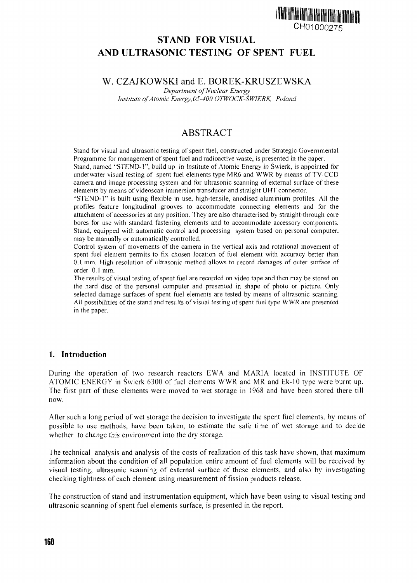

# **STAND FOR VISUAL AND ULTRASONIC TESTING OF SPENT FUEL**

## W. CZAJKOWSKI and E. BOREK-KRUSZEWSKA

*Department of Nuclear Energy Institute of Atomic Energy,05-400 OTWOCK-SWIERK, Poland*

# ABSTRACT

Stand for visual and ultrasonic testing of spent fuel, constructed under Strategic Governmental Programme for management of spent fuel and radioactive waste, is presented in the paper. Stand, named "STEND-1", build up in Institute of Atomic Energy in Swierk, is appointed for

underwater visual testing of spent fuel elements type MR6 and WWR by means of TV-CCD camera and image processing system and for ultrasonic scanning of external surface of these elements by means of videoscan immersion transducer and straight UHT connector.

"STEND-1" is built using flexible in use, high-tensile, anodised aluminium profiles. All the profiles feature longitudinal grooves to accommodate connecting elements and for the attachment of accessories at any position. They are also characterised by straight-through core bores for use with standard fastening elements and to accommodate accessory components. Stand, equipped with automatic control and processing system based on personal computer, may be manually or automatically controlled.

Control system of movements of the camera in the vertical axis and rotational movement of spent fuel element permits to fix chosen location of fuel element with accuracy better than 0.1 mm. High resolution of ultrasonic method allows to record damages of outer surface of order 0.1 mm.

The results of visual testing of spent fuel are recorded on video tape and then may be stored on the hard disc of the personal computer and presented in shape of photo or picture. Only selected damage surfaces of spent fuel elements are tested by means of ultrasonic scanning. All possibilities of the stand and results of visual testing of spent fuel type WWR are presented in the paper.

### **1. Introduction**

During the operation of two research reactors EWA and MARIA located in INSTITUTE OF ATOMIC ENERGY in Swierk 6300 of fuel elements WWR and MR and Ek-10 type were burnt up. The first part of these elements were moved to wet storage in 1968 and have been stored there till now.

After such a long period of wet storage the decision to investigate the spent fuel elements, by means of possible to use methods, have been taken, to estimate the safe time of wet storage and to decide whether to change this environment into the dry storage.

The technical analysis and analysis of the costs of realization of this task have shown, that maximum information about the condition of all population entire amount of fuel elements will be received by visual testing, ultrasonic scanning of external surface of these elements, and also by investigating checking tightness of each element using measurement of fission products release.

The construction of stand and instrumentation equipment, which have been using to visual testing and ultrasonic scanning of spent fuel elements surface, is presented in the report.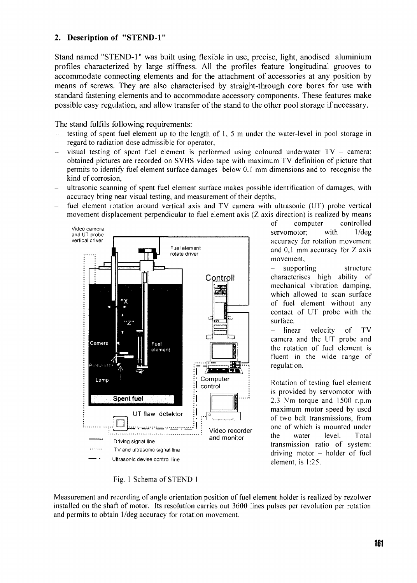### **2. Description of "STEND-1"**

Stand named "STEND-1" was built using flexible in use, precise, light, anodised aluminium profiles characterized by large stiffness. All the profiles feature longitudinal grooves to accommodate connecting elements and for the attachment of accessories at any position by means of screws. They are also characterised by straight-through core bores for use with standard fastening elements and to accommodate accessory components. These features make possible easy regulation, and allow transfer of the stand to the other pool storage if necessary.

The stand fulfils following requirements:

- testing of spent fuel element up to the length of 1, 5 m under the water-level in pool storage in regard to radiation dose admissible for operator,
- visual testing of spent fuel element is performed using coloured underwater  $TV -$  camera; obtained pictures are recorded on SVHS video tape with maximum TV definition of picture that permits to identify fuel element surface damages below 0.1 mm dimensions and to recognise the kind of corrosion,
- ultrasonic scanning of spent fuel element surface makes possible identification of damages, with accuracy bring near visual testing, and measurement of their depths,
- fuel element rotation around vertical axis and TV camera with ultrasonic (UT) probe vertical movement displacement perpendicular to fuel element axis (Z axis direction) is realized by means



of computer controlled servomotor; with 1/deg accuracy for rotation movement and 0,1 mm accuracy for Z axis movement,

supporting structure characterises high ability of mechanical vibration damping, which allowed to scan surface of fuel element without any contact of UT probe with the surface.

- linear velocity of TV camera and the UT probe and the rotation of fuel element is fluent in the wide range of regulation.

Rotation of testing fuel element is provided by servomotor with 2.3 Nm torque and 1500 r.p.m maximum motor speed by used of two belt transmissions, from one of which is mounted under the water level. Total transmission ratio of system:  $driving motor - holder of fuel$ element, is 1:25.

Fig. 1 Schema of STEND 1

Measurement and recording of angle orientation position of fuel element holder is realized by rezolwer installed on the shaft of motor. Its resolution carries out 3600 lines pulses per revolution per rotation and permits to obtain 1/deg accuracy for rotation movement.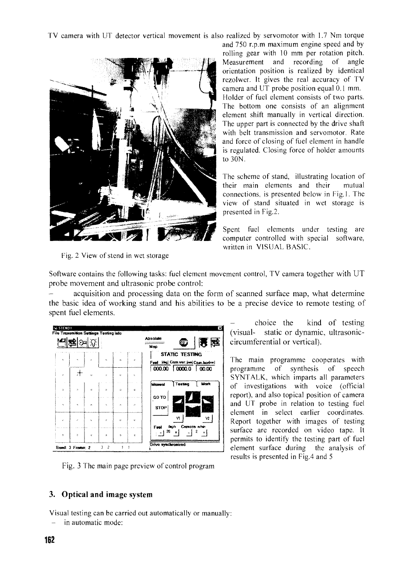TV camera with UT detector vertical movement is also realized by servomotor with 1.7 Nm torque



Fig. 2 View of stend in wet storage

and 750 r.p.m maximum engine speed and by rolling gear with 10 mm per rotation pitch. Measurement and recording of angle orientation position is realized by identical rezolwer. It gives the real accuracy of TV camera and UT probe position equal  $\overline{0}$ .1 mm. Holder of fuel element consists of two parts. The bottom one consists of an alignment element shift manually in vertical direction. The upper part is connected by the drive shaft with belt transmission and servomotor. Rate and force of closing of fuel element in handle is regulated. Closing force of holder amounts to 30N.

The scheme of stand, illustrating location of their main elements and their mutual connections, is presented below in Fig. 1. The view of stand situated in wet storage is presented in Fig.2.

Spent fuel elements under testing are computer controlled with special software, written in VISUAL BASIC.

Software contains the following tasks: fuel element movement control, TV camera together with UT probe movement and ultrasonic probe control:

acquisition and processing data on the form of scanned surface map, what determine the basic idea of working stand and his abilities to be a precise device to remote testing of spent fuel elements.

| STEND1<br>File Transmition Settings Testing Info |                  |                |                          |                     |   |                      |                                | ×                                     |
|--------------------------------------------------|------------------|----------------|--------------------------|---------------------|---|----------------------|--------------------------------|---------------------------------------|
|                                                  |                  |                |                          |                     |   | Absolute<br>Moo      | 607                            |                                       |
| $\mathbf{a}$                                     |                  | r.             | $\overline{ }$           | $\mathbf{a}$        | ÷ |                      | STATIC TESTING                 | Fuel [dag] Carn.var. [nm] Cam.horimn] |
| $\mathbf{r}$                                     |                  |                |                          | $\mathbf{v}$        | ċ |                      | $ 000.00 $ $ 0000.0 $ $ 00.00$ |                                       |
| J.                                               | n                | e              | ۰                        | ۰                   | ¢ | Manual               | Testing                        | Mark                                  |
| $\overline{\phantom{a}}$                         | $\Delta$         | $\overline{ }$ | $\overline{\phantom{a}}$ | Ö.                  | è | GO TO<br><b>STOP</b> |                                |                                       |
| J.                                               | $\epsilon$       |                | ö                        | $\ddot{\mathbf{c}}$ | ò | Fret                 | ٧ĭ<br>dag/s Camera m/min       | ٧2                                    |
| Þ.                                               | Þ                | c              | ä,                       | ó                   | ¢ | 20                   | $\ddot{\phantom{1}}$           | 2                                     |
|                                                  | Band: 3 Frame: 2 |                | 2<br>3                   | 1                   |   | Drive synchromized   |                                |                                       |

Fig. 3 The main page preview of control program

**3. Optical and image system**

Visual testing can be carried out automatically or manually:

- in automatic mode:

- choice the kind of testing (visual- static or dynamic, ultrasoniccircumferential or vertical).

The main programme cooperates with programme of synthesis of speech SYNTALK., which imparts all parameters of investigations with voice (official report), and also topical position of camera and UT probe in relation to testing fuel element in select earlier coordinates. Report together with images of testing surface are recorded on video tape. It permits to identify the testing part of fuel element surface during the analysis of results is presented in Fig.4 and 5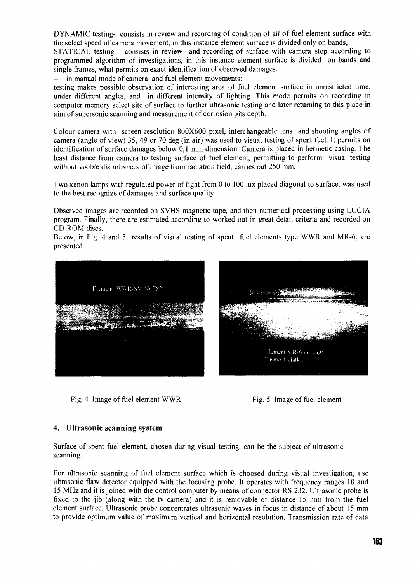DYNAMIC testing- consists in review and recording of condition of all of fuel element surface with the select speed of camera movement, in this instance element surface is divided only on bands,

STATICAL testing - consists in review and recording of surface with camera stop according to programmed algorithm of investigations, in this instance element surface is divided on bands and single frames, what permits on exact identification of observed damages.

in manual mode of camera and fuel element movements:

testing makes possible observation of interesting area of fuel element surface in unrestricted time, under different angles, and in different intensity of lighting. This mode permits on recording in computer memory select site of surface to further ultrasonic testing and later returning to this place in aim of supersonic scanning and measurement of corrosion pits depth.

Colour camera with screen resolution 800X600 pixel, interchangeable lens and shooting angles of camera (angle of view) 35, 49 or 70 deg (in air) was used to visual testing of spent fuel. It permits on identification of surface damages below 0,1 mm dimension. Camera is placed in hermetic casing. The least distance from camera to testing surface of fuel element, permitting to perform visual testing without visible disturbances of image from radiation field, carries out 250 mm.

Two xenon lamps with regulated power of light from 0 to 100 lux placed diagonal to surface, was used to the best recognize of damages and surface quality.

Observed images are recorded on SVHS magnetic tape, and then numerical processing using LUCIA program. Finally, there are estimated according to worked out in great detail criteria and recorded on CD-ROM discs.

Below, in Fig. 4 and 5 results of visual testing of spent fuel elements type WWR and MR-6, are presented.



Fig. 4 Image of fuel element WWR Fig. 5 Image of fuel element

#### **4. Ultrasonic scanning** system

Surface of spent fuel element, chosen during visual testing, can be the subject of ultrasonic scanning.

For ultrasonic scanning of fuel element surface which is choosed during visual investigation, use ultrasonic flaw detector equipped with the focusing probe. It operates with frequency ranges 10 and 15 MHz and it is joined with the control computer by means of connector RS 232. Ultrasonic probe is fixed to the jib (along with the tv camera) and it is removable of distance 15 mm from the fuel element surface. Ultrasonic probe concentrates ultrasonic waves in focus in distance of about 15 mm to provide optimum value of maximum vertical and horizontal resolution. Transmission rate of data